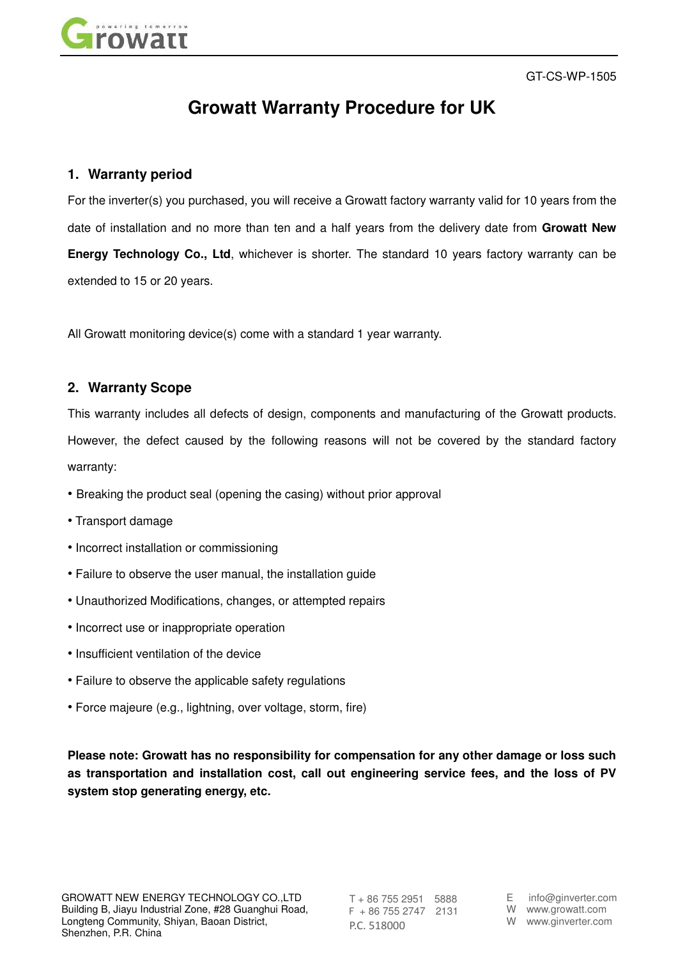

GT-CS-WP-1505

# **Growatt Warranty Procedure for UK**

## **1. Warranty period**

For the inverter(s) you purchased, you will receive a Growatt factory warranty valid for 10 years from the date of installation and no more than ten and a half years from the delivery date from **Growatt New Energy Technology Co., Ltd**, whichever is shorter. The standard 10 years factory warranty can be extended to 15 or 20 years.

All Growatt monitoring device(s) come with a standard 1 year warranty.

## **2. Warranty Scope**

This warranty includes all defects of design, components and manufacturing of the Growatt products. However, the defect caused by the following reasons will not be covered by the standard factory warranty:

- Breaking the product seal (opening the casing) without prior approval
- Transport damage
- Incorrect installation or commissioning
- Failure to observe the user manual, the installation guide
- Unauthorized Modifications, changes, or attempted repairs
- Incorrect use or inappropriate operation
- Insufficient ventilation of the device
- Failure to observe the applicable safety regulations
- Force majeure (e.g., lightning, over voltage, storm, fire)

**Please note: Growatt has no responsibility for compensation for any other damage or loss such as transportation and installation cost, call out engineering service fees, and the loss of PV system stop generating energy, etc.** 

T + 86 755 2951 5888 F + 86 755 2747 2131 P.C. 518000

E info@ginverter.com W www.growatt.com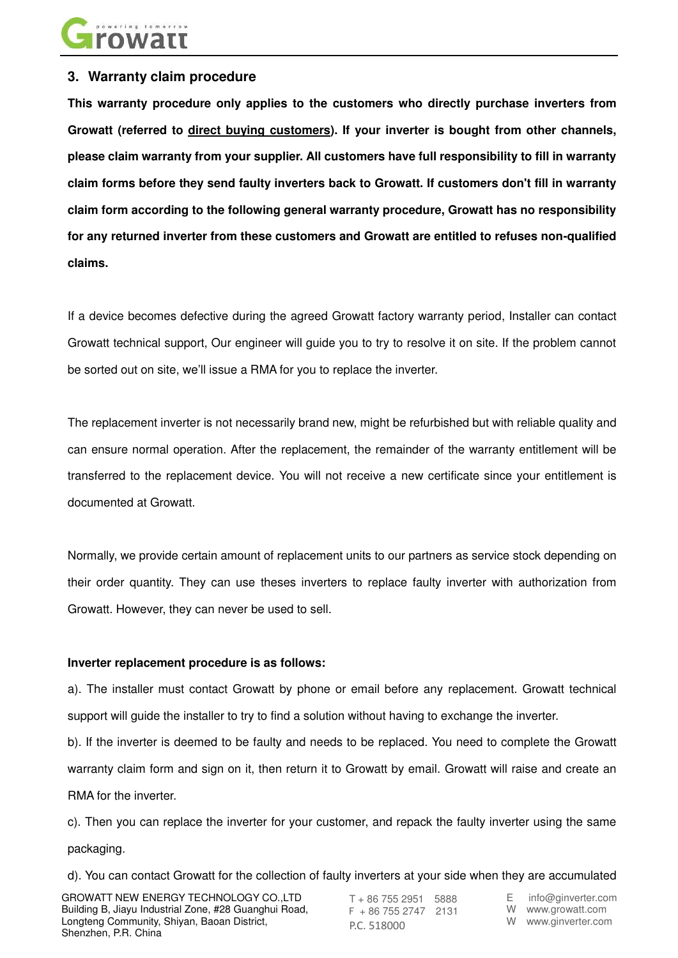

## **3. Warranty claim procedure**

**This warranty procedure only applies to the customers who directly purchase inverters from Growatt (referred to direct buying customers). If your inverter is bought from other channels, please claim warranty from your supplier. All customers have full responsibility to fill in warranty claim forms before they send faulty inverters back to Growatt. If customers don't fill in warranty claim form according to the following general warranty procedure, Growatt has no responsibility for any returned inverter from these customers and Growatt are entitled to refuses non-qualified claims.** 

If a device becomes defective during the agreed Growatt factory warranty period, Installer can contact Growatt technical support, Our engineer will guide you to try to resolve it on site. If the problem cannot be sorted out on site, we'll issue a RMA for you to replace the inverter.

The replacement inverter is not necessarily brand new, might be refurbished but with reliable quality and can ensure normal operation. After the replacement, the remainder of the warranty entitlement will be transferred to the replacement device. You will not receive a new certificate since your entitlement is documented at Growatt.

Normally, we provide certain amount of replacement units to our partners as service stock depending on their order quantity. They can use theses inverters to replace faulty inverter with authorization from Growatt. However, they can never be used to sell.

#### **Inverter replacement procedure is as follows:**

a). The installer must contact Growatt by phone or email before any replacement. Growatt technical support will guide the installer to try to find a solution without having to exchange the inverter.

b). If the inverter is deemed to be faulty and needs to be replaced. You need to complete the Growatt warranty claim form and sign on it, then return it to Growatt by email. Growatt will raise and create an RMA for the inverter.

c). Then you can replace the inverter for your customer, and repack the faulty inverter using the same packaging.

d). You can contact Growatt for the collection of faulty inverters at your side when they are accumulated

GROWATT NEW ENERGY TECHNOLOGY CO.,LTD Building B, Jiayu Industrial Zone, #28 Guanghui Road, Longteng Community, Shiyan, Baoan District, Shenzhen, P.R. China

T + 86 755 2951 5888 F + 86 755 2747 2131 P.C. 518000

E info@ginverter.com

W www.growatt.com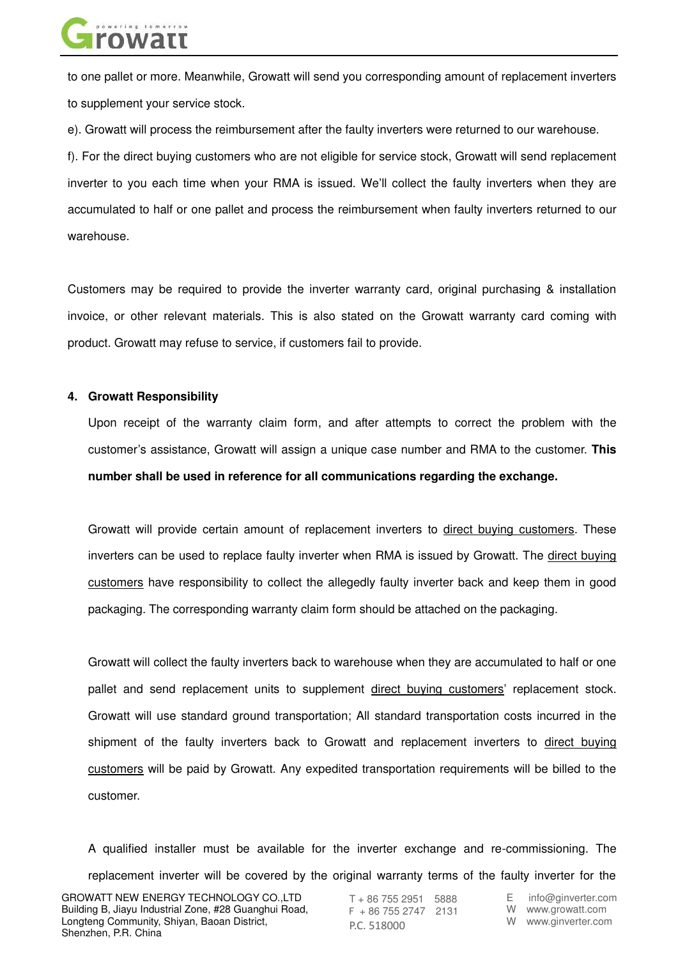

to one pallet or more. Meanwhile, Growatt will send you corresponding amount of replacement inverters to supplement your service stock.

e). Growatt will process the reimbursement after the faulty inverters were returned to our warehouse.

f). For the direct buying customers who are not eligible for service stock, Growatt will send replacement inverter to you each time when your RMA is issued. We'll collect the faulty inverters when they are accumulated to half or one pallet and process the reimbursement when faulty inverters returned to our warehouse.

Customers may be required to provide the inverter warranty card, original purchasing & installation invoice, or other relevant materials. This is also stated on the Growatt warranty card coming with product. Growatt may refuse to service, if customers fail to provide.

#### **4. Growatt Responsibility**

Upon receipt of the warranty claim form, and after attempts to correct the problem with the customer's assistance, Growatt will assign a unique case number and RMA to the customer. **This number shall be used in reference for all communications regarding the exchange.** 

Growatt will provide certain amount of replacement inverters to direct buying customers. These inverters can be used to replace faulty inverter when RMA is issued by Growatt. The direct buying customers have responsibility to collect the allegedly faulty inverter back and keep them in good packaging. The corresponding warranty claim form should be attached on the packaging.

Growatt will collect the faulty inverters back to warehouse when they are accumulated to half or one pallet and send replacement units to supplement direct buying customers' replacement stock. Growatt will use standard ground transportation; All standard transportation costs incurred in the shipment of the faulty inverters back to Growatt and replacement inverters to direct buying customers will be paid by Growatt. Any expedited transportation requirements will be billed to the customer.

A qualified installer must be available for the inverter exchange and re-commissioning. The replacement inverter will be covered by the original warranty terms of the faulty inverter for the

T + 86 755 2951 5888 F + 86 755 2747 2131 P.C. 518000

E info@ginverter.com

W www.growatt.com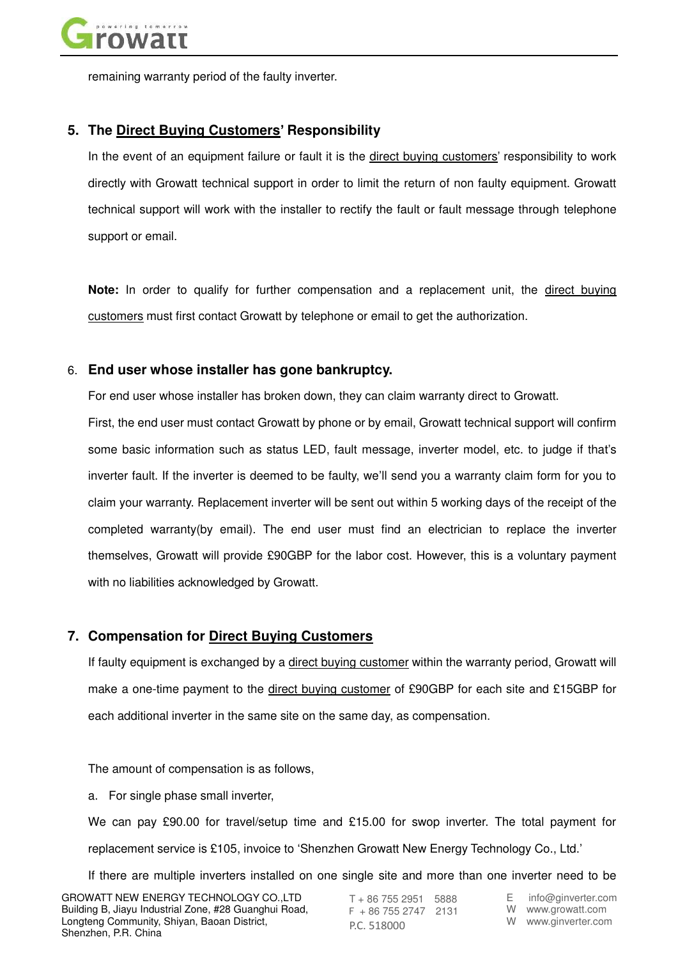

remaining warranty period of the faulty inverter.

## **5. The Direct Buying Customers' Responsibility**

In the event of an equipment failure or fault it is the direct buying customers' responsibility to work directly with Growatt technical support in order to limit the return of non faulty equipment. Growatt technical support will work with the installer to rectify the fault or fault message through telephone support or email.

**Note:** In order to qualify for further compensation and a replacement unit, the direct buying customers must first contact Growatt by telephone or email to get the authorization.

#### 6. **End user whose installer has gone bankruptcy.**

For end user whose installer has broken down, they can claim warranty direct to Growatt.

First, the end user must contact Growatt by phone or by email, Growatt technical support will confirm some basic information such as status LED, fault message, inverter model, etc. to judge if that's inverter fault. If the inverter is deemed to be faulty, we'll send you a warranty claim form for you to claim your warranty. Replacement inverter will be sent out within 5 working days of the receipt of the completed warranty(by email). The end user must find an electrician to replace the inverter themselves, Growatt will provide £90GBP for the labor cost. However, this is a voluntary payment with no liabilities acknowledged by Growatt.

## **7. Compensation for Direct Buying Customers**

If faulty equipment is exchanged by a direct buying customer within the warranty period, Growatt will make a one-time payment to the direct buying customer of £90GBP for each site and £15GBP for each additional inverter in the same site on the same day, as compensation.

The amount of compensation is as follows,

a. For single phase small inverter,

We can pay £90.00 for travel/setup time and £15.00 for swop inverter. The total payment for replacement service is £105, invoice to 'Shenzhen Growatt New Energy Technology Co., Ltd.'

If there are multiple inverters installed on one single site and more than one inverter need to be

T + 86 755 2951 5888 F + 86 755 2747 2131 P.C. 518000

E info@ginverter.com

W www.growatt.com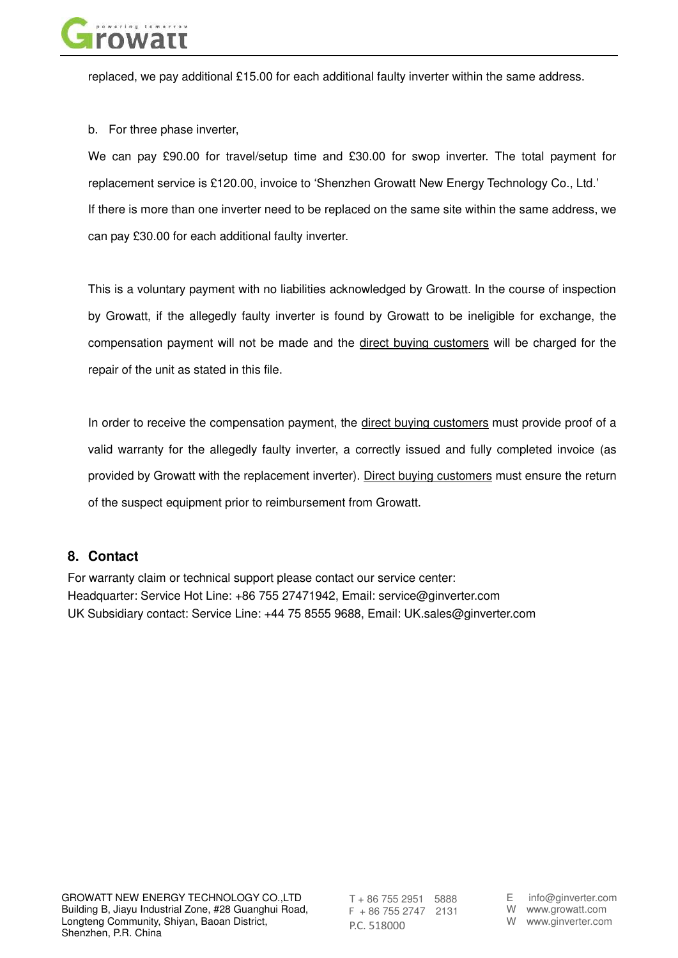

replaced, we pay additional £15.00 for each additional faulty inverter within the same address.

b. For three phase inverter,

We can pay £90.00 for travel/setup time and £30.00 for swop inverter. The total payment for replacement service is £120.00, invoice to 'Shenzhen Growatt New Energy Technology Co., Ltd.' If there is more than one inverter need to be replaced on the same site within the same address, we can pay £30.00 for each additional faulty inverter.

This is a voluntary payment with no liabilities acknowledged by Growatt. In the course of inspection by Growatt, if the allegedly faulty inverter is found by Growatt to be ineligible for exchange, the compensation payment will not be made and the direct buying customers will be charged for the repair of the unit as stated in this file.

In order to receive the compensation payment, the direct buying customers must provide proof of a valid warranty for the allegedly faulty inverter, a correctly issued and fully completed invoice (as provided by Growatt with the replacement inverter). Direct buying customers must ensure the return of the suspect equipment prior to reimbursement from Growatt.

## **8. Contact**

For warranty claim or technical support please contact our service center: Headquarter: Service Hot Line: +86 755 27471942, Email: service@ginverter.com UK Subsidiary contact: Service Line: +44 75 8555 9688, Email: UK.sales@ginverter.com

T + 86 755 2951 5888 F + 86 755 2747 2131 P.C. 518000

E info@ginverter.com W www.growatt.com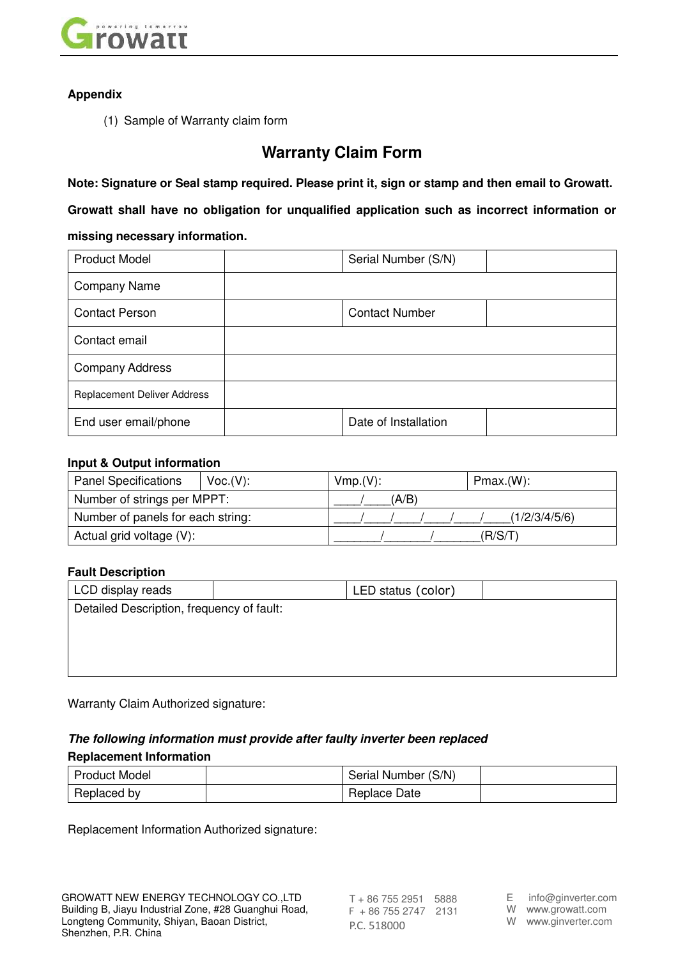

## **Appendix**

(1) Sample of Warranty claim form

## **Warranty Claim Form**

**Note: Signature or Seal stamp required. Please print it, sign or stamp and then email to Growatt.** 

**Growatt shall have no obligation for unqualified application such as incorrect information or missing necessary information.**

| <b>Product Model</b>               | Serial Number (S/N)   |  |  |  |
|------------------------------------|-----------------------|--|--|--|
| <b>Company Name</b>                |                       |  |  |  |
| <b>Contact Person</b>              | <b>Contact Number</b> |  |  |  |
| Contact email                      |                       |  |  |  |
| <b>Company Address</b>             |                       |  |  |  |
| <b>Replacement Deliver Address</b> |                       |  |  |  |
| End user email/phone               | Date of Installation  |  |  |  |

## **Input & Output information**

| <b>Panel Specifications</b>       | Voc.(V): | Vmp.(V): |       |  | Pmax.(W):     |  |
|-----------------------------------|----------|----------|-------|--|---------------|--|
| Number of strings per MPPT:       |          |          | (A/B) |  |               |  |
| Number of panels for each string: |          |          |       |  | (1/2/3/4/5/6) |  |
| Actual grid voltage (V):          |          |          |       |  | (R/S/T        |  |

## **Fault Description**

| LCD display reads                         |  | LED status (color) |  |  |  |
|-------------------------------------------|--|--------------------|--|--|--|
| Detailed Description, frequency of fault: |  |                    |  |  |  |
|                                           |  |                    |  |  |  |
|                                           |  |                    |  |  |  |
|                                           |  |                    |  |  |  |

Warranty Claim Authorized signature:

## *The following information must provide after faulty inverter been replaced*  **Replacement Information**

| <b>Product Model</b> | Serial Number (S/N) |  |
|----------------------|---------------------|--|
| Replaced by          | Replace Date        |  |

Replacement Information Authorized signature:

T + 86 755 2951 5888 F + 86 755 2747 2131 P.C. 518000

E info@ginverter.com

W www.growatt.com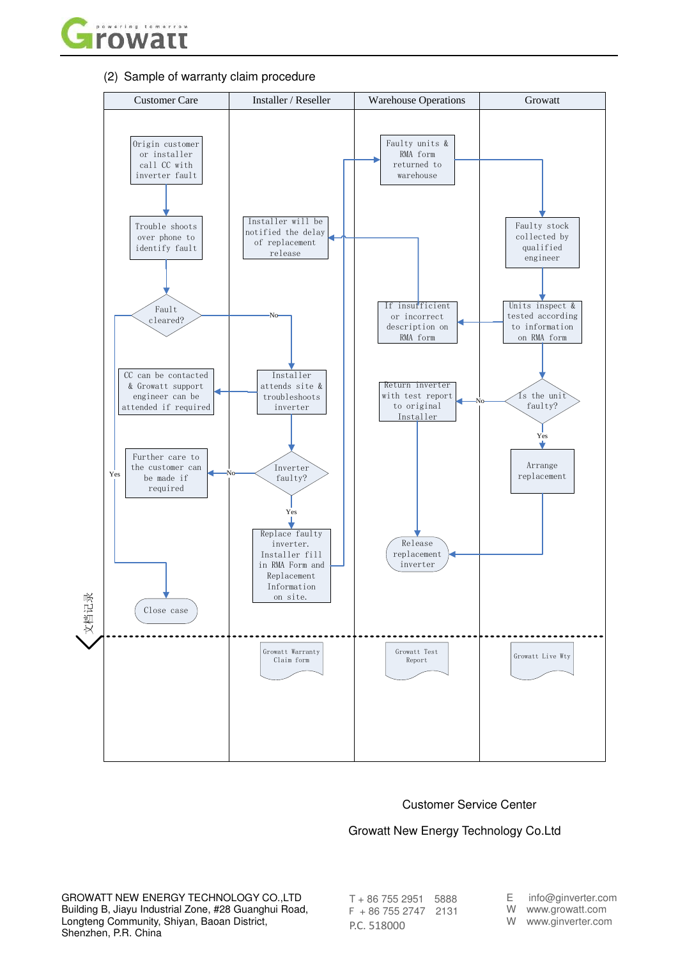

(2) Sample of warranty claim procedure



#### Customer Service Center

#### Growatt New Energy Technology Co.Ltd

GROWATT NEW ENERGY TECHNOLOGY CO.,LTD Building B, Jiayu Industrial Zone, #28 Guanghui Road, Longteng Community, Shiyan, Baoan District, Shenzhen, P.R. China

T + 86 755 2951 5888 F + 86 755 2747 2131 P.C. 518000

E info@ginverter.com

W www.growatt.com